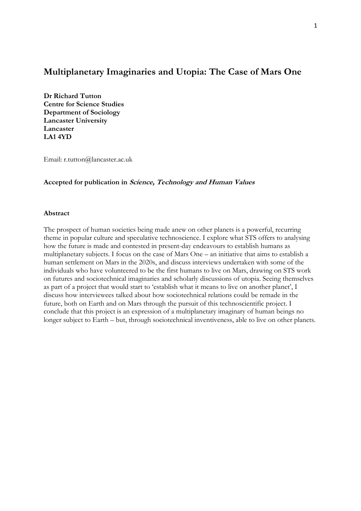# **Multiplanetary Imaginaries and Utopia: The Case of Mars One**

**Dr Richard Tutton Centre for Science Studies Department of Sociology Lancaster University Lancaster LA1 4YD**

Email: r.tutton@lancaster.ac.uk

# **Accepted for publication in Science, Technology and Human Values**

#### **Abstract**

The prospect of human societies being made anew on other planets is a powerful, recurring theme in popular culture and speculative technoscience. I explore what STS offers to analysing how the future is made and contested in present-day endeavours to establish humans as multiplanetary subjects. I focus on the case of Mars One – an initiative that aims to establish a human settlement on Mars in the 2020s, and discuss interviews undertaken with some of the individuals who have volunteered to be the first humans to live on Mars, drawing on STS work on futures and sociotechnical imaginaries and scholarly discussions of utopia. Seeing themselves as part of a project that would start to 'establish what it means to live on another planet', I discuss how interviewees talked about how sociotechnical relations could be remade in the future, both on Earth and on Mars through the pursuit of this technoscientific project. I conclude that this project is an expression of a multiplanetary imaginary of human beings no longer subject to Earth – but, through sociotechnical inventiveness, able to live on other planets.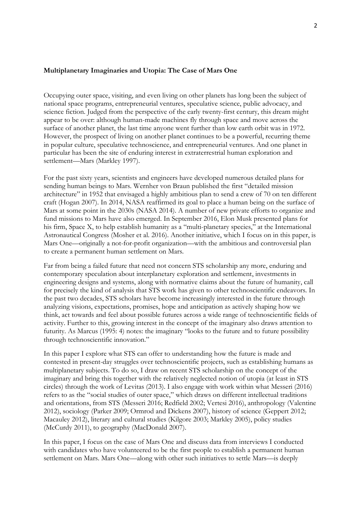# **Multiplanetary Imaginaries and Utopia: The Case of Mars One**

Occupying outer space, visiting, and even living on other planets has long been the subject of national space programs, entrepreneurial ventures, speculative science, public advocacy, and science fiction. Judged from the perspective of the early twenty-first century, this dream might appear to be over: although human-made machines fly through space and move across the surface of another planet, the last time anyone went further than low earth orbit was in 1972. However, the prospect of living on another planet continues to be a powerful, recurring theme in popular culture, speculative technoscience, and entrepreneurial ventures. And one planet in particular has been the site of enduring interest in extraterrestrial human exploration and settlement—Mars (Markley 1997).

For the past sixty years, scientists and engineers have developed numerous detailed plans for sending human beings to Mars. Wernher von Braun published the first "detailed mission architecture" in 1952 that envisaged a highly ambitious plan to send a crew of 70 on ten different craft (Hogan 2007). In 2014, NASA reaffirmed its goal to place a human being on the surface of Mars at some point in the 2030s (NASA 2014). A number of new private efforts to organize and fund missions to Mars have also emerged. In September 2016, Elon Musk presented plans for his firm, Space X, to help establish humanity as a "multi-planetary species," at the International Astronautical Congress (Mosher et al. 2016). Another initiative, which I focus on in this paper, is Mars One––originally a not-for-profit organization––with the ambitious and controversial plan to create a permanent human settlement on Mars.

Far from being a failed future that need not concern STS scholarship any more, enduring and contemporary speculation about interplanetary exploration and settlement, investments in engineering designs and systems, along with normative claims about the future of humanity, call for precisely the kind of analysis that STS work has given to other technoscientific endeavors. In the past two decades, STS scholars have become increasingly interested in the future through analyzing visions, expectations, promises, hope and anticipation as actively shaping how we think, act towards and feel about possible futures across a wide range of technoscientific fields of activity. Further to this, growing interest in the concept of the imaginary also draws attention to futurity. As Marcus (1995: 4) notes: the imaginary "looks to the future and to future possibility through technoscientific innovation."

In this paper I explore what STS can offer to understanding how the future is made and contested in present-day struggles over technoscientific projects, such as establishing humans as multiplanetary subjects. To do so, I draw on recent STS scholarship on the concept of the imaginary and bring this together with the relatively neglected notion of utopia (at least in STS circles) through the work of Levitas (2013). I also engage with work within what Messeri (2016) refers to as the "social studies of outer space," which draws on different intellectual traditions and orientations, from STS (Messeri 2016; Redfield 2002; Vertesi 2016), anthropology (Valentine 2012), sociology (Parker 2009; Ormrod and Dickens 2007), history of science (Geppert 2012; Macauley 2012), literary and cultural studies (Kilgore 2003; Markley 2005), policy studies (McCurdy 2011), to geography (MacDonald 2007).

In this paper, I focus on the case of Mars One and discuss data from interviews I conducted with candidates who have volunteered to be the first people to establish a permanent human settlement on Mars. Mars One––along with other such initiatives to settle Mars––is deeply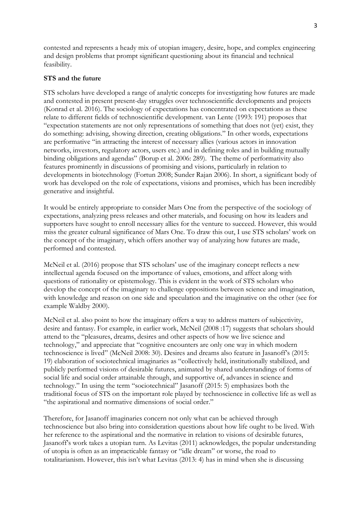contested and represents a heady mix of utopian imagery, desire, hope, and complex engineering and design problems that prompt significant questioning about its financial and technical feasibility.

## **STS and the future**

STS scholars have developed a range of analytic concepts for investigating how futures are made and contested in present present-day struggles over technoscientific developments and projects (Konrad et al. 2016). The sociology of expectations has concentrated on expectations as these relate to different fields of technoscientific development. van Lente (1993: 191) proposes that "expectation statements are not only representations of something that does not (yet) exist, they do something: advising, showing direction, creating obligations." In other words, expectations are performative "in attracting the interest of necessary allies (various actors in innovation networks, investors, regulatory actors, users etc.) and in defining roles and in building mutually binding obligations and agendas" (Borup et al. 2006: 289). The theme of performativity also features prominently in discussions of promising and visions, particularly in relation to developments in biotechnology (Fortun 2008; Sunder Rajan 2006). In short, a significant body of work has developed on the role of expectations, visions and promises, which has been incredibly generative and insightful.

It would be entirely appropriate to consider Mars One from the perspective of the sociology of expectations, analyzing press releases and other materials, and focusing on how its leaders and supporters have sought to enroll necessary allies for the venture to succeed. However, this would miss the greater cultural significance of Mars One. To draw this out, I use STS scholars' work on the concept of the imaginary, which offers another way of analyzing how futures are made, performed and contested.

McNeil et al. (2016) propose that STS scholars' use of the imaginary concept reflects a new intellectual agenda focused on the importance of values, emotions, and affect along with questions of rationality or epistemology. This is evident in the work of STS scholars who develop the concept of the imaginary to challenge oppositions between science and imagination, with knowledge and reason on one side and speculation and the imaginative on the other (see for example Waldby 2000).

McNeil et al. also point to how the imaginary offers a way to address matters of subjectivity, desire and fantasy. For example, in earlier work, McNeil (2008 :17) suggests that scholars should attend to the "pleasures, dreams, desires and other aspects of how we live science and technology," and appreciate that "cognitive encounters are only one way in which modern technoscience is lived" (McNeil 2008: 30). Desires and dreams also feature in Jasanoff's (2015: 19) elaboration of sociotechnical imaginaries as "collectively held, institutionally stabilized, and publicly performed visions of desirable futures, animated by shared understandings of forms of social life and social order attainable through, and supportive of, advances in science and technology." In using the term "sociotechnical" Jasanoff (2015: 5) emphasizes both the traditional focus of STS on the important role played by technoscience in collective life as well as "the aspirational and normative dimensions of social order."

Therefore, for Jasanoff imaginaries concern not only what can be achieved through technoscience but also bring into consideration questions about how life ought to be lived. With her reference to the aspirational and the normative in relation to visions of desirable futures, Jasanoff's work takes a utopian turn. As Levitas (2011) acknowledges, the popular understanding of utopia is often as an impracticable fantasy or "idle dream" or worse, the road to totalitarianism. However, this isn't what Levitas (2013: 4) has in mind when she is discussing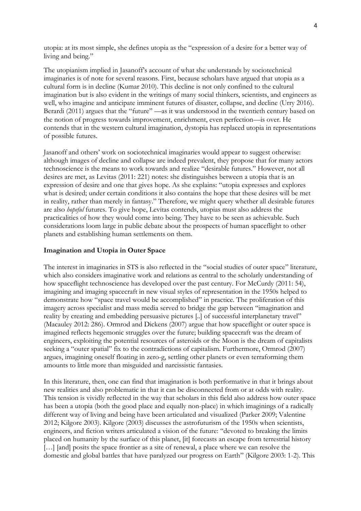utopia: at its most simple, she defines utopia as the "expression of a desire for a better way of living and being."

The utopianism implied in Jasanoff's account of what she understands by sociotechnical imaginaries is of note for several reasons. First, because scholars have argued that utopia as a cultural form is in decline (Kumar 2010). This decline is not only confined to the cultural imagination but is also evident in the writings of many social thinkers, scientists, and engineers as well, who imagine and anticipate imminent futures of disaster, collapse, and decline (Urry 2016). Berardi (2011) argues that the "future" —as it was understood in the twentieth century based on the notion of progress towards improvement, enrichment, even perfection––is over. He contends that in the western cultural imagination, dystopia has replaced utopia in representations of possible futures.

Jasanoff and others' work on sociotechnical imaginaries would appear to suggest otherwise: although images of decline and collapse are indeed prevalent, they propose that for many actors technoscience is the means to work towards and realize "desirable futures." However, not all desires are met, as Levitas (2011: 221) notes: she distinguishes between a utopia that is an expression of desire and one that gives hope. As she explains: "utopia expresses and explores what is desired; under certain conditions it also contains the hope that these desires will be met in reality, rather than merely in fantasy." Therefore, we might query whether all desirable futures are also *hopeful* futures. To give hope, Levitas contends, utopias must also address the practicalities of how they would come into being. They have to be seen as achievable. Such considerations loom large in public debate about the prospects of human spaceflight to other planets and establishing human settlements on them.

#### **Imagination and Utopia in Outer Space**

The interest in imaginaries in STS is also reflected in the "social studies of outer space" literature, which also considers imaginative work and relations as central to the scholarly understanding of how spaceflight technoscience has developed over the past century. For McCurdy (2011: 54), imagining and imaging spacecraft in new visual styles of representation in the 1950s helped to demonstrate how "space travel would be accomplished" in practice. The proliferation of this imagery across specialist and mass media served to bridge the gap between "imagination and reality by creating and embedding persuasive pictures [..] of successful interplanetary travel" (Macauley 2012: 286). Ormrod and Dickens (2007) argue that how spaceflight or outer space is imagined reflects hegemonic struggles over the future; building spacecraft was the dream of engineers, exploiting the potential resources of asteroids or the Moon is the dream of capitalists seeking a "outer spatial" fix to the contradictions of capitalism. Furthermore, Ormrod (2007) argues, imagining oneself floating in zero-g, settling other planets or even terraforming them amounts to little more than misguided and narcissistic fantasies.

In this literature, then, one can find that imagination is both performative in that it brings about new realities and also problematic in that it can be disconnected from or at odds with reality. This tension is vividly reflected in the way that scholars in this field also address how outer space has been a utopia (both the good place and equally non-place) in which imaginings of a radically different way of living and being have been articulated and visualized (Parker 2009; Valentine 2012; Kilgore 2003). Kilgore (2003) discusses the astrofuturism of the 1950s when scientists, engineers, and fiction writers articulated a vision of the future: "devoted to breaking the limits placed on humanity by the surface of this planet, [it] forecasts an escape from terrestrial history [...] [and] posits the space frontier as a site of renewal, a place where we can resolve the domestic and global battles that have paralyzed our progress on Earth" (Kilgore 2003: 1-2). This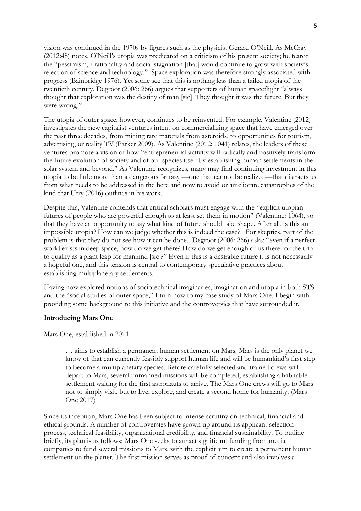vision was continued in the 1970s by figures such as the physicist Gerard O'Neill. As McCray (2012:48) notes, O'Neill's utopia was predicated on a criticism of his present society; he feared the "pessimism, irrationality and social stagnation [that] would continue to grow with society's rejection of science and technology." Space exploration was therefore strongly associated with progress (Bainbridge 1976). Yet some see that this is nothing less than a failed utopia of the twentieth century. Degroot (2006: 266) argues that supporters of human spaceflight "always thought that exploration was the destiny of man [sic]. They thought it was the future. But they were wrong."

The utopia of outer space, however, continues to be reinvented. For example, Valentine (2012) investigates the new capitalist ventures intent on commercializing space that have emerged over the past three decades, from mining rare materials from asteroids, to opportunities for tourism, advertising, or reality TV (Parker 2009). As Valentine (2012: 1041) relates, the leaders of these ventures promote a vision of how "entrepreneurial activity will radically and positively transform the future evolution of society and of our species itself by establishing human settlements in the solar system and beyond." As Valentine recognizes, many may find continuing investment in this utopia to be little more than a dangerous fantasy ––one that cannot be realized––that distracts us from what needs to be addressed in the here and now to avoid or ameliorate catastrophes of the kind that Urry (2016) outlines in his work.

Despite this, Valentine contends that critical scholars must engage with the "explicit utopian futures of people who are powerful enough to at least set them in motion" (Valentine: 1064), so that they have an opportunity to say what kind of future should take shape. After all, is this an impossible utopia? How can we judge whether this is indeed the case? For skeptics, part of the problem is that they do not see how it can be done. Degroot (2006: 266) asks: "even if a perfect world exists in deep space, how do we get there? How do we get enough of us there for the trip to qualify as a giant leap for mankind [sic]?" Even if this is a desirable future it is not necessarily a hopeful one, and this tension is central to contemporary speculative practices about establishing multiplanetary settlements.

Having now explored notions of sociotechnical imaginaries, imagination and utopia in both STS and the "social studies of outer space," I turn now to my case study of Mars One. I begin with providing some background to this initiative and the controversies that have surrounded it.

## **Introducing Mars One**

Mars One, established in 2011

… aims to establish a permanent human settlement on Mars. Mars is the only planet we know of that can currently feasibly support human life and will be humankind's first step to become a multiplanetary species. Before carefully selected and trained crews will depart to Mars, several unmanned missions will be completed, establishing a habitable settlement waiting for the first astronauts to arrive. The Mars One crews will go to Mars not to simply visit, but to live, explore, and create a second home for humanity. (Mars One 2017)

Since its inception, Mars One has been subject to intense scrutiny on technical, financial and ethical grounds. A number of controversies have grown up around its applicant selection process, technical feasibility, organizational credibility, and financial sustainability. To outline briefly, its plan is as follows: Mars One seeks to attract significant funding from media companies to fund several missions to Mars, with the explicit aim to create a permanent human settlement on the planet. The first mission serves as proof-of-concept and also involves a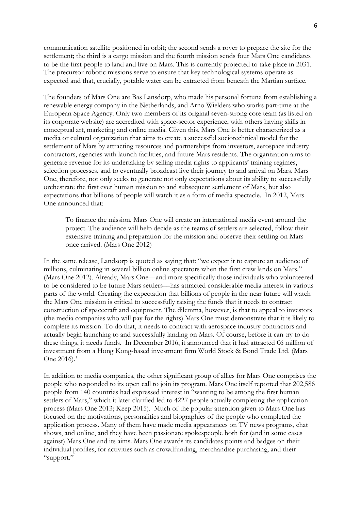communication satellite positioned in orbit; the second sends a rover to prepare the site for the settlement; the third is a cargo mission and the fourth mission sends four Mars One candidates to be the first people to land and live on Mars. This is currently projected to take place in 2031. The precursor robotic missions serve to ensure that key technological systems operate as expected and that, crucially, potable water can be extracted from beneath the Martian surface.

The founders of Mars One are Bas Lansdorp, who made his personal fortune from establishing a renewable energy company in the Netherlands, and Arno Wielders who works part-time at the European Space Agency. Only two members of its original seven-strong core team (as listed on its corporate website) are accredited with space-sector experience, with others having skills in conceptual art, marketing and online media. Given this, Mars One is better characterized as a media or cultural organization that aims to create a successful sociotechnical model for the settlement of Mars by attracting resources and partnerships from investors, aerospace industry contractors, agencies with launch facilities, and future Mars residents. The organization aims to generate revenue for its undertaking by selling media rights to applicants' training regimes, selection processes, and to eventually broadcast live their journey to and arrival on Mars. Mars One, therefore, not only seeks to generate not only expectations about its ability to successfully orchestrate the first ever human mission to and subsequent settlement of Mars, but also expectations that billions of people will watch it as a form of media spectacle. In 2012, Mars One announced that:

To finance the mission, Mars One will create an international media event around the project. The audience will help decide as the teams of settlers are selected, follow their extensive training and preparation for the mission and observe their settling on Mars once arrived. (Mars One 2012)

In the same release, Landsorp is quoted as saying that: "we expect it to capture an audience of millions, culminating in several billion online spectators when the first crew lands on Mars." (Mars One 2012). Already, Mars One––and more specifically those individuals who volunteered to be considered to be future Mars settlers––has attracted considerable media interest in various parts of the world. Creating the expectation that billions of people in the near future will watch the Mars One mission is critical to successfully raising the funds that it needs to contract construction of spacecraft and equipment. The dilemma, however, is that to appeal to investors (the media companies who will pay for the rights) Mars One must demonstrate that it is likely to complete its mission. To do that, it needs to contract with aerospace industry contractors and actually begin launching to and successfully landing on Mars. Of course, before it can try to do these things, it needs funds. In December 2016, it announced that it had attracted  $\epsilon$ 6 million of investment from a Hong Kong-based investment firm World Stock & Bond Trade Ltd. (Mars One 2016).<sup>1</sup>

In addition to media companies, the other significant group of allies for Mars One comprises the people who responded to its open call to join its program. Mars One itself reported that 202,586 people from 140 countries had expressed interest in "wanting to be among the first human settlers of Mars," which it later clarified led to 4227 people actually completing the application process (Mars One 2013; Keep 2015). Much of the popular attention given to Mars One has focused on the motivations, personalities and biographies of the people who completed the application process. Many of them have made media appearances on TV news programs, chat shows, and online, and they have been passionate spokespeople both for (and in some cases against) Mars One and its aims. Mars One awards its candidates points and badges on their individual profiles, for activities such as crowdfunding, merchandise purchasing, and their "support."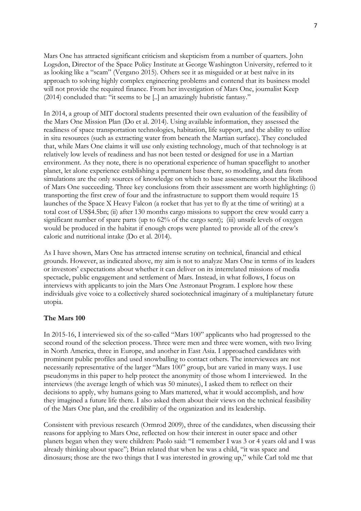Mars One has attracted significant criticism and skepticism from a number of quarters. John Logsdon, Director of the Space Policy Institute at George Washington University, referred to it as looking like a "scam" (Vergano 2015). Others see it as misguided or at best naïve in its approach to solving highly complex engineering problems and contend that its business model will not provide the required finance. From her investigation of Mars One, journalist Keep (2014) concluded that: "it seems to be [..] an amazingly hubristic fantasy."

In 2014, a group of MIT doctoral students presented their own evaluation of the feasibility of the Mars One Mission Plan (Do et al. 2014). Using available information, they assessed the readiness of space transportation technologies, habitation, life support, and the ability to utilize in situ resources (such as extracting water from beneath the Martian surface). They concluded that, while Mars One claims it will use only existing technology, much of that technology is at relatively low levels of readiness and has not been tested or designed for use in a Martian environment. As they note, there is no operational experience of human spaceflight to another planet, let alone experience establishing a permanent base there, so modeling, and data from simulations are the only sources of knowledge on which to base assessments about the likelihood of Mars One succeeding. Three key conclusions from their assessment are worth highlighting: (i) transporting the first crew of four and the infrastructure to support them would require 15 launches of the Space X Heavy Falcon (a rocket that has yet to fly at the time of writing) at a total cost of US\$4.5bn; (ii) after 130 months cargo missions to support the crew would carry a significant number of spare parts (up to 62% of the cargo sent); (iii) unsafe levels of oxygen would be produced in the habitat if enough crops were planted to provide all of the crew's caloric and nutritional intake (Do et al. 2014).

As I have shown, Mars One has attracted intense scrutiny on technical, financial and ethical grounds. However, as indicated above, my aim is not to analyze Mars One in terms of its leaders or investors' expectations about whether it can deliver on its interrelated missions of media spectacle, public engagement and settlement of Mars. Instead, in what follows, I focus on interviews with applicants to join the Mars One Astronaut Program. I explore how these individuals give voice to a collectively shared sociotechnical imaginary of a multiplanetary future utopia.

# **The Mars 100**

In 2015-16, I interviewed six of the so-called "Mars 100" applicants who had progressed to the second round of the selection process. Three were men and three were women, with two living in North America, three in Europe, and another in East Asia. I approached candidates with prominent public profiles and used snowballing to contact others. The interviewees are not necessarily representative of the larger "Mars 100" group, but are varied in many ways. I use pseudonyms in this paper to help protect the anonymity of those whom I interviewed. In the interviews (the average length of which was 50 minutes), I asked them to reflect on their decisions to apply, why humans going to Mars mattered, what it would accomplish, and how they imagined a future life there. I also asked them about their views on the technical feasibility of the Mars One plan, and the credibility of the organization and its leadership.

Consistent with previous research (Ormrod 2009), three of the candidates, when discussing their reasons for applying to Mars One, reflected on how their interest in outer space and other planets began when they were children: Paolo said: "I remember I was 3 or 4 years old and I was already thinking about space"; Brian related that when he was a child, "it was space and dinosaurs; those are the two things that I was interested in growing up," while Carl told me that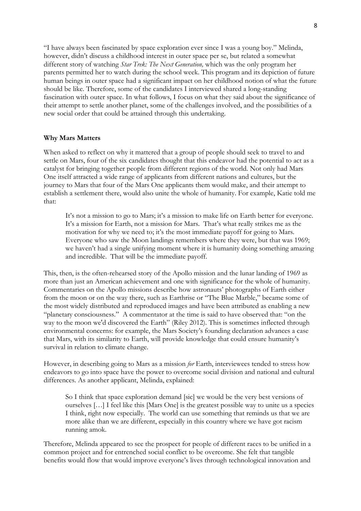"I have always been fascinated by space exploration ever since I was a young boy." Melinda, however, didn't discuss a childhood interest in outer space per se, but related a somewhat different story of watching *Star Trek: The Next Generation,* which was the only program her parents permitted her to watch during the school week. This program and its depiction of future human beings in outer space had a significant impact on her childhood notion of what the future should be like. Therefore, some of the candidates I interviewed shared a long-standing fascination with outer space. In what follows, I focus on what they said about the significance of their attempt to settle another planet, some of the challenges involved, and the possibilities of a new social order that could be attained through this undertaking.

#### **Why Mars Matters**

When asked to reflect on why it mattered that a group of people should seek to travel to and settle on Mars, four of the six candidates thought that this endeavor had the potential to act as a catalyst for bringing together people from different regions of the world. Not only had Mars One itself attracted a wide range of applicants from different nations and cultures, but the journey to Mars that four of the Mars One applicants them would make, and their attempt to establish a settlement there, would also unite the whole of humanity. For example, Katie told me that:

It's not a mission to go to Mars; it's a mission to make life on Earth better for everyone. It's a mission for Earth, not a mission for Mars. That's what really strikes me as the motivation for why we need to; it's the most immediate payoff for going to Mars. Everyone who saw the Moon landings remembers where they were, but that was 1969; we haven't had a single unifying moment where it is humanity doing something amazing and incredible. That will be the immediate payoff.

This, then, is the often-rehearsed story of the Apollo mission and the lunar landing of 1969 as more than just an American achievement and one with significance for the whole of humanity. Commentaries on the Apollo missions describe how astronauts' photographs of Earth either from the moon or on the way there, such as Earthrise or "The Blue Marble," became some of the most widely distributed and reproduced images and have been attributed as enabling a new "planetary consciousness." A commentator at the time is said to have observed that: "on the way to the moon we'd discovered the Earth" (Riley 2012). This is sometimes inflected through environmental concerns: for example, the Mars Society's founding declaration advances a case that Mars, with its similarity to Earth, will provide knowledge that could ensure humanity's survival in relation to climate change.

However, in describing going to Mars as a mission *for* Earth, interviewees tended to stress how endeavors to go into space have the power to overcome social division and national and cultural differences. As another applicant, Melinda, explained:

So I think that space exploration demand [sic] we would be the very best versions of ourselves […] I feel like this [Mars One] is the greatest possible way to unite us a species I think, right now especially. The world can use something that reminds us that we are more alike than we are different, especially in this country where we have got racism running amok.

Therefore, Melinda appeared to see the prospect for people of different races to be unified in a common project and for entrenched social conflict to be overcome. She felt that tangible benefits would flow that would improve everyone's lives through technological innovation and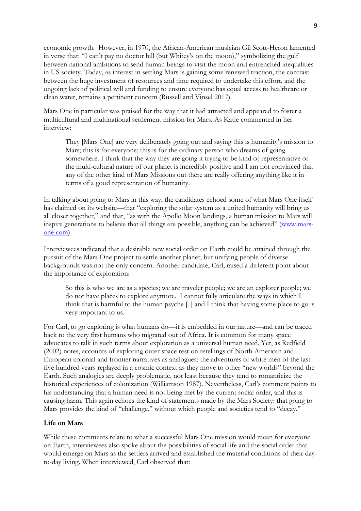economic growth. However, in 1970, the African-American musician Gil Scott-Heron lamented in verse that: "I can't pay no doctor bill (but Whitey's on the moon)," symbolizing the gulf between national ambitions to send human beings to visit the moon and entrenched inequalities in US society. Today, as interest in settling Mars is gaining some renewed traction, the contrast between the huge investment of resources and time required to undertake this effort, and the ongoing lack of political will and funding to ensure everyone has equal access to healthcare or clean water, remains a pertinent concern (Russell and Vinsel 2017).

Mars One in particular was praised for the way that it had attracted and appeared to foster a multicultural and multinational settlement mission for Mars. As Katie commented in her interview:

They [Mars One] are very deliberately going out and saying this is humanity's mission to Mars; this is for everyone; this is for the ordinary person who dreams of going somewhere. I think that the way they are going it trying to be kind of representative of the multi-cultural nature of our planet is incredibly positive and I am not convinced that any of the other kind of Mars Missions out there are really offering anything like it in terms of a good representation of humanity.

In talking about going to Mars in this way, the candidates echoed some of what Mars One itself has claimed on its website—that "exploring the solar system as a united humanity will bring us all closer together," and that, "as with the Apollo Moon landings, a human mission to Mars will inspire generations to believe that all things are possible, anything can be achieved" [\(www.mars](http://www.mars-one.com/)[one.com\)](http://www.mars-one.com/).

Interviewees indicated that a desirable new social order on Earth could be attained through the pursuit of the Mars One project to settle another planet; but unifying people of diverse backgrounds was not the only concern. Another candidate, Carl, raised a different point about the importance of exploration:

So this is who we are as a species; we are traveler people; we are an explorer people; we do not have places to explore anymore. I cannot fully articulate the ways in which I think that is harmful to the human psyche [..] and I think that having some place to go is very important to us.

For Carl, to go exploring is what humans do—it is embedded in our nature—and can be traced back to the very first humans who migrated out of Africa. It is common for many space advocates to talk in such terms about exploration as a universal human need. Yet, as Redfield (2002) notes, accounts of exploring outer space rest on retellings of North American and European colonial and frontier narratives as analogues: the adventures of white men of the last five hundred years replayed in a cosmic context as they move to other "new worlds" beyond the Earth. Such analogies are deeply problematic, not least because they tend to romanticize the historical experiences of colonization (Williamson 1987). Nevertheless, Carl's comment points to his understanding that a human need is not being met by the current social order, and this is causing harm. This again echoes the kind of statements made by the Mars Society: that going to Mars provides the kind of "challenge," without which people and societies tend to "decay."

# **Life on Mars**

While these comments relate to what a successful Mars One mission would mean for everyone on Earth, interviewees also spoke about the possibilities of social life and the social order that would emerge on Mars as the settlers arrived and established the material conditions of their dayto-day living. When interviewed, Carl observed that: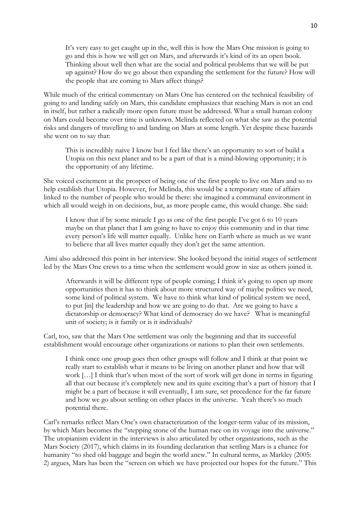It's very easy to get caught up in the, well this is how the Mars One mission is going to go and this is how we will get on Mars, and afterwards it's kind of its an open book. Thinking about well then what are the social and political problems that we will be put up against? How do we go about then expanding the settlement for the future? How will the people that are coming to Mars affect things?

While much of the critical commentary on Mars One has centered on the technical feasibility of going to and landing safely on Mars, this candidate emphasizes that reaching Mars is not an end in itself, but rather a radically more open future must be addressed. What a small human colony on Mars could become over time is unknown. Melinda reflected on what she saw as the potential risks and dangers of travelling to and landing on Mars at some length. Yet despite these hazards she went on to say that:

This is incredibly naive I know but I feel like there's an opportunity to sort of build a Utopia on this next planet and to be a part of that is a mind-blowing opportunity; it is the opportunity of any lifetime.

She voiced excitement at the prospect of being one of the first people to live on Mars and so to help establish that Utopia. However, for Melinda, this would be a temporary state of affairs linked to the number of people who would be there: she imagined a communal environment in which all would weigh in on decisions, but, as more people came, this would change. She said:

I know that if by some miracle I go as one of the first people I've got 6 to 10 years maybe on that planet that I am going to have to enjoy this community and in that time every person's life will matter equally. Unlike here on Earth where as much as we want to believe that all lives matter equally they don't get the same attention.

Aimi also addressed this point in her interview. She looked beyond the initial stages of settlement led by the Mars One crews to a time when the settlement would grow in size as others joined it.

Afterwards it will be different type of people coming; I think it's going to open up more opportunities then it has to think about more structured way of maybe politics we need, some kind of political system. We have to think what kind of political system we need, to put [in] the leadership and how we are going to do that. Are we going to have a dictatorship or democracy? What kind of democracy do we have? What is meaningful unit of society; is it family or is it individuals?

Carl, too, saw that the Mars One settlement was only the beginning and that its successful establishment would encourage other organizations or nations to plan their own settlements.

I think once one group goes then other groups will follow and I think at that point we really start to establish what it means to be living on another planet and how that will work […] I think that's when most of the sort of work will get done in terms in figuring all that out because it's completely new and its quite exciting that's a part of history that I might be a part of because it will eventually, I am sure, set precedence for the far future and how we go about settling on other places in the universe. Yeah there's so much potential there.

Carl's remarks reflect Mars One's own characterization of the longer-term value of its mission, by which Mars becomes the "stepping stone of the human race on its voyage into the universe." The utopianism evident in the interviews is also articulated by other organizations, such as the Mars Society (2017), which claims in its founding declaration that settling Mars is a chance for humanity "to shed old baggage and begin the world anew." In cultural terms, as Markley (2005: 2) argues, Mars has been the "screen on which we have projected our hopes for the future." This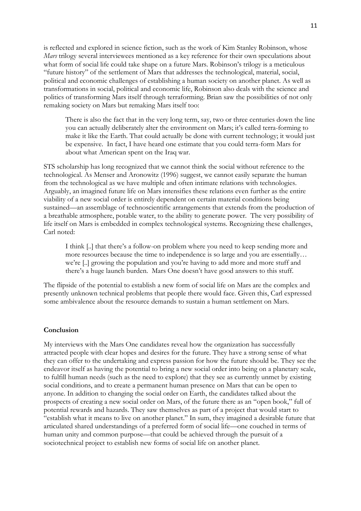is reflected and explored in science fiction, such as the work of Kim Stanley Robinson, whose *Mars* trilogy several interviewees mentioned as a key reference for their own speculations about what form of social life could take shape on a future Mars. Robinson's trilogy is a meticulous "future history" of the settlement of Mars that addresses the technological, material, social, political and economic challenges of establishing a human society on another planet. As well as transformations in social, political and economic life, Robinson also deals with the science and politics of transforming Mars itself through terraforming. Brian saw the possibilities of not only remaking society on Mars but remaking Mars itself too:

There is also the fact that in the very long term, say, two or three centuries down the line you can actually deliberately alter the environment on Mars; it's called terra-forming to make it like the Earth. That could actually be done with current technology; it would just be expensive. In fact, I have heard one estimate that you could terra-form Mars for about what American spent on the Iraq war.

STS scholarship has long recognized that we cannot think the social without reference to the technological. As Menser and Aronowitz (1996) suggest, we cannot easily separate the human from the technological as we have multiple and often intimate relations with technologies. Arguably, an imagined future life on Mars intensifies these relations even further as the entire viability of a new social order is entirely dependent on certain material conditions being sustained––an assemblage of technoscientific arrangements that extends from the production of a breathable atmosphere, potable water, to the ability to generate power. The very possibility of life itself on Mars is embedded in complex technological systems. Recognizing these challenges, Carl noted:

I think [..] that there's a follow-on problem where you need to keep sending more and more resources because the time to independence is so large and you are essentially… we're [..] growing the population and you're having to add more and more stuff and there's a huge launch burden. Mars One doesn't have good answers to this stuff.

The flipside of the potential to establish a new form of social life on Mars are the complex and presently unknown technical problems that people there would face. Given this, Carl expressed some ambivalence about the resource demands to sustain a human settlement on Mars.

#### **Conclusion**

My interviews with the Mars One candidates reveal how the organization has successfully attracted people with clear hopes and desires for the future. They have a strong sense of what they can offer to the undertaking and express passion for how the future should be. They see the endeavor itself as having the potential to bring a new social order into being on a planetary scale, to fulfill human needs (such as the need to explore) that they see as currently unmet by existing social conditions, and to create a permanent human presence on Mars that can be open to anyone. In addition to changing the social order on Earth, the candidates talked about the prospects of creating a new social order on Mars, of the future there as an "open book," full of potential rewards and hazards. They saw themselves as part of a project that would start to "establish what it means to live on another planet." In sum, they imagined a desirable future that articulated shared understandings of a preferred form of social life––one couched in terms of human unity and common purpose––that could be achieved through the pursuit of a sociotechnical project to establish new forms of social life on another planet.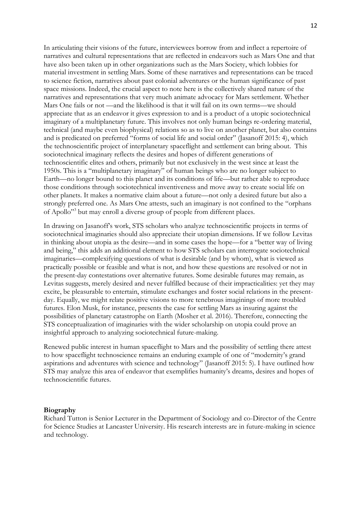In articulating their visions of the future, interviewees borrow from and inflect a repertoire of narratives and cultural representations that are reflected in endeavors such as Mars One and that have also been taken up in other organizations such as the Mars Society, which lobbies for material investment in settling Mars. Some of these narratives and representations can be traced to science fiction, narratives about past colonial adventures or the human significance of past space missions. Indeed, the crucial aspect to note here is the collectively shared nature of the narratives and representations that very much animate advocacy for Mars settlement. Whether Mars One fails or not ––and the likelihood is that it will fail on its own terms––we should appreciate that as an endeavor it gives expression to and is a product of a utopic sociotechnical imaginary of a multiplanetary future. This involves not only human beings re-ordering material, technical (and maybe even biophysical) relations so as to live on another planet, but also contains and is predicated on preferred "forms of social life and social order" (Jasanoff 2015: 4), which the technoscientific project of interplanetary spaceflight and settlement can bring about. This sociotechnical imaginary reflects the desires and hopes of different generations of technoscientific elites and others, primarily but not exclusively in the west since at least the 1950s. This is a "multiplanetary imaginary" of human beings who are no longer subject to Earth––no longer bound to this planet and its conditions of life––but rather able to reproduce those conditions through sociotechnical inventiveness and move away to create social life on other planets. It makes a normative claim about a future––not only a desired future but also a strongly preferred one. As Mars One attests, such an imaginary is not confined to the "orphans of Apollo" <sup>3</sup> but may enroll a diverse group of people from different places.

In drawing on Jasanoff's work, STS scholars who analyze technoscientific projects in terms of sociotechnical imaginaries should also appreciate their utopian dimensions. If we follow Levitas in thinking about utopia as the desire––and in some cases the hope––for a "better way of living and being," this adds an additional element to how STS scholars can interrogate sociotechnical imaginaries––complexifying questions of what is desirable (and by whom), what is viewed as practically possible or feasible and what is not, and how these questions are resolved or not in the present-day contestations over alternative futures. Some desirable futures may remain, as Levitas suggests, merely desired and never fulfilled because of their impracticalities: yet they may excite, be pleasurable to entertain, stimulate exchanges and foster social relations in the presentday. Equally, we might relate positive visions to more tenebrous imaginings of more troubled futures. Elon Musk, for instance, presents the case for settling Mars as insuring against the possibilities of planetary catastrophe on Earth (Mosher et al. 2016). Therefore, connecting the STS conceptualization of imaginaries with the wider scholarship on utopia could prove an insightful approach to analyzing sociotechnical future-making.

Renewed public interest in human spaceflight to Mars and the possibility of settling there attest to how spaceflight technoscience remains an enduring example of one of "modernity's grand aspirations and adventures with science and technology" (Jasanoff 2015: 5). I have outlined how STS may analyze this area of endeavor that exemplifies humanity's dreams, desires and hopes of technoscientific futures.

#### **Biography**

Richard Tutton is Senior Lecturer in the Department of Sociology and co-Director of the Centre for Science Studies at Lancaster University. His research interests are in future-making in science and technology.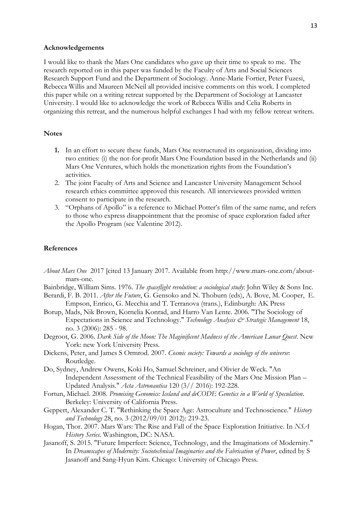#### **Acknowledgements**

I would like to thank the Mars One candidates who gave up their time to speak to me. The research reported on in this paper was funded by the Faculty of Arts and Social Sciences Research Support Fund and the Department of Sociology. Anne-Marie Fortier, Peter Fuzesi, Rebecca Willis and Maureen McNeil all provided incisive comments on this work. I completed this paper while on a writing retreat supported by the Department of Sociology at Lancaster University. I would like to acknowledge the work of Rebecca Willis and Celia Roberts in organizing this retreat, and the numerous helpful exchanges I had with my fellow retreat writers.

#### **Notes**

- **1.** In an effort to secure these funds, Mars One restructured its organization, dividing into two entities: (i) the not-for-profit Mars One Foundation based in the Netherlands and (ii) Mars One Ventures, which holds the monetization rights from the Foundation's activities.
- 2. The joint Faculty of Arts and Science and Lancaster University Management School research ethics committee approved this research. All interviewees provided written consent to participate in the research.
- 3. "Orphans of Apollo" is a reference to Michael Potter's film of the same name, and refers to those who express disappointment that the promise of space exploration faded after the Apollo Program (see Valentine 2012).

#### **References**

- *About Mars One* 2017 [cited 13 January 2017. Available from http://www.mars-one.com/aboutmars-one.
- Bainbridge, William Sims. 1976. *The spaceflight revolution: a sociological study*: John Wiley & Sons Inc.
- Berardi, F. B. 2011. *After the Future*, G. Gensoko and N. Thoburn (eds), A. Bove, M. Cooper, E. Empson, Enrico, G. Mecchia and T. Terranova (trans.), Edinburgh: AK Press
- Borup, Mads, Nik Brown, Kornelia Konrad, and Harro Van Lente. 2006. "The Sociology of Expectations in Science and Technology." *Technology Analysis & Strategic Management* 18, no. 3 (2006): 285 - 98.
- Degroot, G. 2006. *Dark Side of the Moon: The Maginificent Madness of the American Lunar Quest*. New York: new York University Press.
- Dickens, Peter, and James S Ormrod. 2007. *Cosmic society: Towards a sociology of the universe*: Routledge.
- Do, Sydney, Andrew Owens, Koki Ho, Samuel Schreiner, and Olivier de Weck. "An Independent Assessment of the Technical Feasibility of the Mars One Mission Plan – Updated Analysis." *Acta Astronautica* 120 (3// 2016): 192-228.
- Fortun, Michael. 2008. *Promising Genomics: Iceland and deCODE Genetics in a World of Speculation*. Berkeley: University of California Press.
- Geppert, Alexander C. T. "Rethinking the Space Age: Astroculture and Technoscience." *History and Technology* 28, no. 3 (2012/09/01 2012): 219-23.
- Hogan, Thor. 2007. Mars Wars: The Rise and Fall of the Space Exploration Initiative. In *NSA History Series*. Washington, DC: NASA.
- Jasanoff, S. 2015. "Future Imperfect: Science, Technology, and the Imaginations of Modernity." In *Dreamscapes of Modernity: Sociotechnical Imaginaries and the Fabrication of Power*, edited by S Jasanoff and Sang-Hyun Kim. Chicago: University of Chicago Press.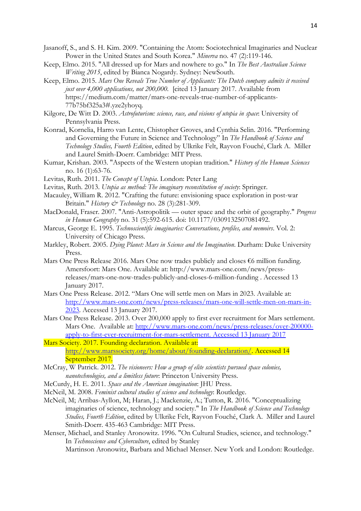- Jasanoff, S., and S. H. Kim. 2009. "Containing the Atom: Sociotechnical Imaginaries and Nuclear Power in the United States and South Korea." *Minerva* no. 47 (2):119-146.
- Keep, Elmo. 2015. "All dressed up for Mars and nowhere to go." In *The Best Australian Science Writing 2015*, edited by Bianca Nogardy. Sydney: NewSouth.
- Keep, Elmo. 2015. *Mars One Reveals True Number of Applicants: The Dutch company admits it received just over 4,000 applications, not 200,000.* [cited 13 January 2017. Available from https://medium.com/matter/mars-one-reveals-true-number-of-applicants-77b75bf325a3#.yze2yhoyq.
- Kilgore, De Witt D. 2003. *Astrofuturism: science, race, and visions of utopia in space*: University of Pennsylvania Press.
- Konrad, Kornelia, Harro van Lente, Chistopher Groves, and Cynthia Selin. 2016. "Performing and Governing the Future in Science and Technology" In *The Handbook of Science and Technology Studies, Fourth Edition*, edited by Ulkrike Felt, Rayvon Fouché, Clark A. Miller and Laurel Smith-Doerr. Cambridge: MIT Press.
- Kumar, Krishan. 2003. "Aspects of the Western utopian tradition." *History of the Human Sciences* no. 16 (1):63-76.
- Levitas, Ruth. 2011. *The Concept of Utopia*. London: Peter Lang
- Levitas, Ruth. 2013. *Utopia as method: The imaginary reconstitution of society*: Springer.
- Macauley, William R. 2012. "Crafting the future: envisioning space exploration in post-war Britain." *History & Technology* no. 28 (3):281-309.
- MacDonald, Fraser. 2007. "Anti-Astropolitik outer space and the orbit of geography." *Progress in Human Geography* no. 31 (5):592-615. doi: 10.1177/0309132507081492.
- Marcus, George E. 1995. *Technoscientific imaginaries: Conversations, profiles, and memoirs*. Vol. 2: University of Chicago Press.
- Markley, Robert. 2005. *Dying Planet: Mars in Science and the Imagination*. Durham: Duke University Press.
- Mars One Press Release 2016. Mars One now trades publicly and closes €6 million funding. Amersfoort: Mars One. Available at: http://www.mars-one.com/news/pressreleases/mars-one-now-trades-publicly-and-closes-6-million-funding . Accessed 13 January 2017.
- Mars One Press Release. 2012. "Mars One will settle men on Mars in 2023. Available at: [http://www.mars-one.com/news/press-releases/mars-one-will-settle-men-on-mars-in-](http://www.mars-one.com/news/press-releases/mars-one-will-settle-men-on-mars-in-2023)[2023.](http://www.mars-one.com/news/press-releases/mars-one-will-settle-men-on-mars-in-2023) Accessed 13 January 2017.
- Mars One Press Release. 2013. Over 200,000 apply to first ever recruitment for Mars settlement. Mars One. Available at: [http://www.mars-one.com/news/press-releases/over-200000](http://www.mars-one.com/news/press-releases/over-200000-apply-to-first-ever-recruitment-for-mars-settlement.%20Accessed%2013%20January%202017) [apply-to-first-ever-recruitment-for-mars-settlement. Accessed 13 January 2017](http://www.mars-one.com/news/press-releases/over-200000-apply-to-first-ever-recruitment-for-mars-settlement.%20Accessed%2013%20January%202017)
- Mars Society. 2017. Founding declaration. Available at: [http://www.marssociety.org/home/about/founding-declaration/.](http://www.marssociety.org/home/about/founding-declaration/) Accessed 14 September 2017.
- McCray, W Patrick. 2012. *The visioneers: How a group of elite scientists pursued space colonies, nanotechnologies, and a limitless future*: Princeton University Press.
- McCurdy, H. E. 2011. *Space and the American imagination*: JHU Press.
- McNeil, M. 2008. *Feminist cultural studies of science and technology*: Routledge.
- McNeil, M; Arribas-Ayllon, M; Haran, J.; Mackenzie, A.; Tutton, R. 2016. "Conceptualizing imaginaries of science, technology and society." In *The Handbook of Science and Technology Studies, Fourth Edition*, edited by Ulkrike Felt, Rayvon Fouché, Clark A. Miller and Laurel Smith-Doerr. 435-463 Cambridge: MIT Press.
- Menser, Michael, and Stanley Aronowitz. 1996. "On Cultural Studies, science, and technology." In *Technoscience and Cyberculture*, edited by Stanley Martinson Aronowitz, Barbara and Michael Menser. New York and London: Routledge.